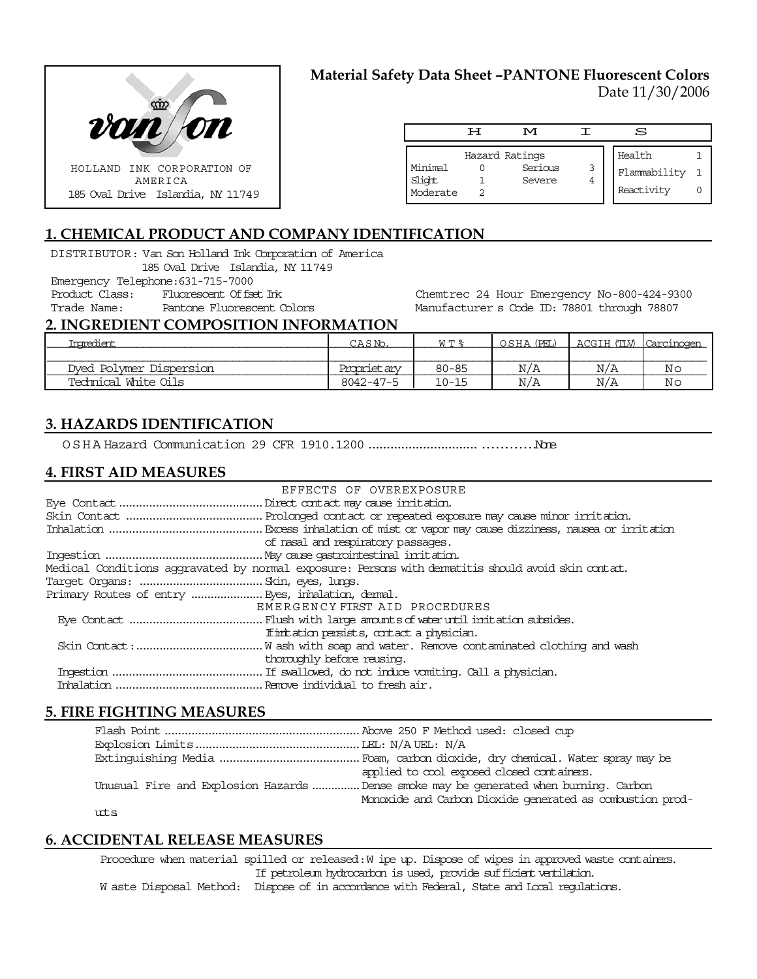

# **Material Safety Data Sheet –PANTONE Fluorescent Colors** Date 11/30/2006

|                               | ᄑ | M                                   |   | S                                    |  |
|-------------------------------|---|-------------------------------------|---|--------------------------------------|--|
| Minimal<br>Slight<br>Moderate |   | Hazard Ratings<br>Serious<br>Severe | 3 | Health<br>Flammability<br>Reactivity |  |

# **1. CHEMICAL PRODUCT AND COMPANY IDENTIFICATION**

DISTRIBUTOR: Van Son Holland Ink Corporation of America 185 Oval Drive Islandia, NY 11749 Emergency Telephone:631-715-7000 Product Class: Fluorescent Offset Ink Trade Name: Pantone Fluorescent Colors

Chemtrec 24 Hour Emergency No-800-424-9300 Manufacturer s Code ID: 78801 through 78807

### **2. INGREDIENT COMPOSITION INFORMATION**

| Tnomedient              | $A S N$ .       | M T &     | OSHA (PEL) | ACGIH (TLV) | Carcinoger     |
|-------------------------|-----------------|-----------|------------|-------------|----------------|
|                         |                 |           |            |             |                |
| Dved Polymer Dispersion | Proprietary     | $80 - 85$ | N/A        | N/A         | Νr             |
| Technical White Oils    | $8042 - 47 - 5$ | $10 - 15$ | N/A        | N/A         | N <sub>c</sub> |

## **3. HAZARDS IDENTIFICATION**

OSHA Hazard Communication 29 CFR 1910.1200..........................................None

## **4. FIRST AID MEASURES**

| EFFECTS OF OVEREXPOSURE                                                                            |
|----------------------------------------------------------------------------------------------------|
|                                                                                                    |
|                                                                                                    |
|                                                                                                    |
| of nasal and respiratory passages.                                                                 |
|                                                                                                    |
| Medical Conditions aggravated by normal exposure: Persons with dematitis should avoid skin contat. |
|                                                                                                    |
|                                                                                                    |
| EMERGENCY FIRST AID PROCEDURES                                                                     |
|                                                                                                    |
| If initiation persists, contact a physician.                                                       |
|                                                                                                    |
| thoroughly before reusing.                                                                         |
|                                                                                                    |
|                                                                                                    |

### **5. FIRE FIGHTING MEASURES**

| applied to cool exposed closed containers.                                           |
|--------------------------------------------------------------------------------------|
| Unusual Fire and Explosion Hazards Dense smoke may be generated when burning. Carbon |
| Monoxide and Carbon Dioxide generated as combustion prod-                            |
|                                                                                      |

uts

### **6. ACCIDENTAL RELEASE MEASURES**

Procedure when material spilled or released: W ipe up. Dispose of wipes in approved waste containers. If petroleum hydrocarbon is used, provide sufficient ventilation. W aste Disposal Method: Dispose of in accordance with Federal, State and Local regulations.